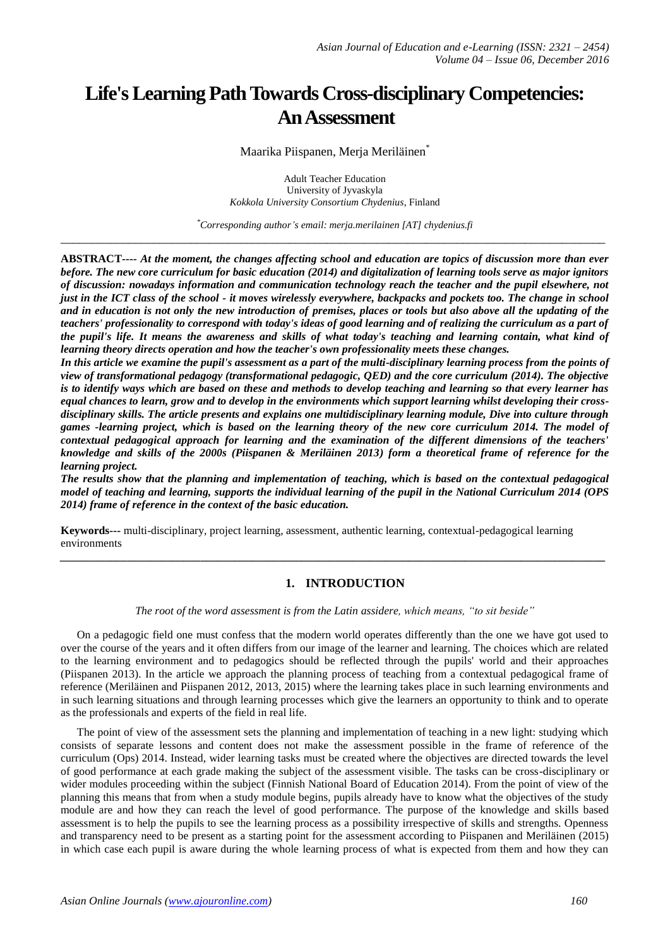# **Life's Learning Path Towards Cross-disciplinary Competencies: An Assessment**

Maarika Piispanen, Meria Meriläinen<sup>®</sup>

Adult Teacher Education University of Jyvaskyla *Kokkola University Consortium Chydenius*, Finland

*\*Corresponding author's email: merja.merilainen [AT] chydenius.fi* \_\_\_\_\_\_\_\_\_\_\_\_\_\_\_\_\_\_\_\_\_\_\_\_\_\_\_\_\_\_\_\_\_\_\_\_\_\_\_\_\_\_\_\_\_\_\_\_\_\_\_\_\_\_\_\_\_\_\_\_\_\_\_\_\_\_\_\_\_\_\_\_\_\_\_\_\_\_\_\_\_\_\_\_\_\_\_\_

**ABSTRACT---***- At the moment, the changes affecting school and education are topics of discussion more than ever before. The new core curriculum for basic education (2014) and digitalization of learning tools serve as major ignitors of discussion: nowadays information and communication technology reach the teacher and the pupil elsewhere, not just in the ICT class of the school - it moves wirelessly everywhere, backpacks and pockets too. The change in school and in education is not only the new introduction of premises, places or tools but also above all the updating of the teachers' professionality to correspond with today's ideas of good learning and of realizing the curriculum as a part of the pupil's life. It means the awareness and skills of what today's teaching and learning contain, what kind of learning theory directs operation and how the teacher's own professionality meets these changes.* 

*In this article we examine the pupil's assessment as a part of the multi-disciplinary learning process from the points of view of transformational pedagogy (transformational pedagogic, QED) and the core curriculum (2014). The objective is to identify ways which are based on these and methods to develop teaching and learning so that every learner has equal chances to learn, grow and to develop in the environments which support learning whilst developing their crossdisciplinary skills. The article presents and explains one multidisciplinary learning module, Dive into culture through games -learning project, which is based on the learning theory of the new core curriculum 2014. The model of contextual pedagogical approach for learning and the examination of the different dimensions of the teachers' knowledge and skills of the 2000s (Piispanen & Meriläinen 2013) form a theoretical frame of reference for the learning project.* 

*The results show that the planning and implementation of teaching, which is based on the contextual pedagogical model of teaching and learning, supports the individual learning of the pupil in the National Curriculum 2014 (OPS 2014) frame of reference in the context of the basic education.* 

**Keywords---** multi-disciplinary, project learning, assessment, authentic learning, contextual-pedagogical learning environments

# **1. INTRODUCTION**

*The root of the word assessment is from the Latin assidere, which means, "to sit beside"*

*\_\_\_\_\_\_\_\_\_\_\_\_\_\_\_\_\_\_\_\_\_\_\_\_\_\_\_\_\_\_\_\_\_\_\_\_\_\_\_\_\_\_\_\_\_\_\_\_\_\_\_\_\_\_\_\_\_\_\_\_\_\_\_\_\_\_\_\_\_\_\_\_\_\_\_\_\_\_\_\_\_\_\_\_\_\_\_\_\_\_\_\_\_\_\_\_\_*

On a pedagogic field one must confess that the modern world operates differently than the one we have got used to over the course of the years and it often differs from our image of the learner and learning. The choices which are related to the learning environment and to pedagogics should be reflected through the pupils' world and their approaches (Piispanen 2013). In the article we approach the planning process of teaching from a contextual pedagogical frame of reference (Meriläinen and Piispanen 2012, 2013, 2015) where the learning takes place in such learning environments and in such learning situations and through learning processes which give the learners an opportunity to think and to operate as the professionals and experts of the field in real life.

The point of view of the assessment sets the planning and implementation of teaching in a new light: studying which consists of separate lessons and content does not make the assessment possible in the frame of reference of the curriculum (Ops) 2014. Instead, wider learning tasks must be created where the objectives are directed towards the level of good performance at each grade making the subject of the assessment visible. The tasks can be cross-disciplinary or wider modules proceeding within the subject (Finnish National Board of Education 2014). From the point of view of the planning this means that from when a study module begins, pupils already have to know what the objectives of the study module are and how they can reach the level of good performance. The purpose of the knowledge and skills based assessment is to help the pupils to see the learning process as a possibility irrespective of skills and strengths. Openness and transparency need to be present as a starting point for the assessment according to Piispanen and Meriläinen (2015) in which case each pupil is aware during the whole learning process of what is expected from them and how they can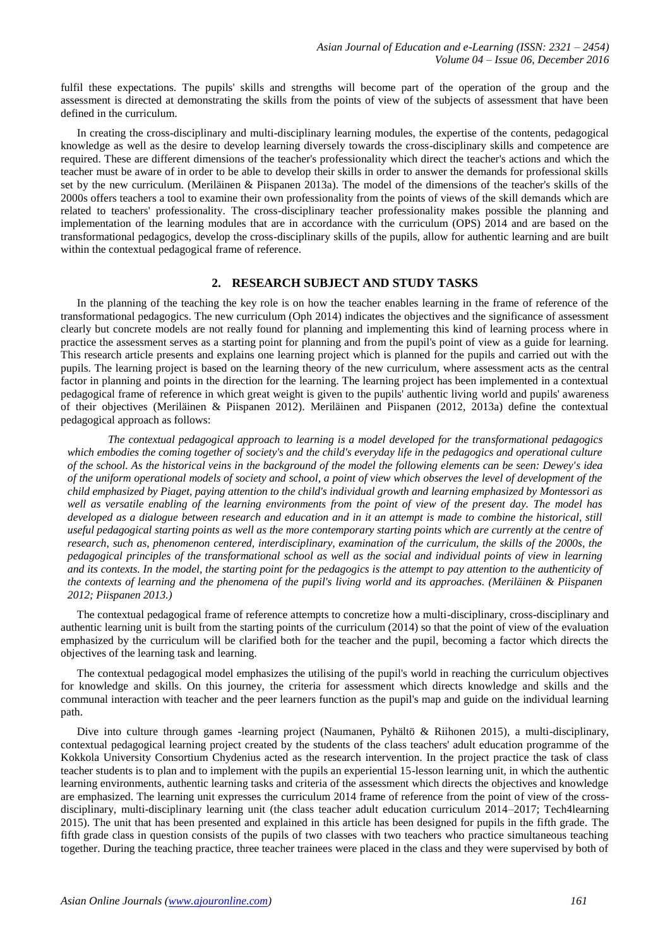fulfil these expectations. The pupils' skills and strengths will become part of the operation of the group and the assessment is directed at demonstrating the skills from the points of view of the subjects of assessment that have been defined in the curriculum.

In creating the cross-disciplinary and multi-disciplinary learning modules, the expertise of the contents, pedagogical knowledge as well as the desire to develop learning diversely towards the cross-disciplinary skills and competence are required. These are different dimensions of the teacher's professionality which direct the teacher's actions and which the teacher must be aware of in order to be able to develop their skills in order to answer the demands for professional skills set by the new curriculum. (Meriläinen & Piispanen 2013a). The model of the dimensions of the teacher's skills of the 2000s offers teachers a tool to examine their own professionality from the points of views of the skill demands which are related to teachers' professionality. The cross-disciplinary teacher professionality makes possible the planning and implementation of the learning modules that are in accordance with the curriculum (OPS) 2014 and are based on the transformational pedagogics, develop the cross-disciplinary skills of the pupils, allow for authentic learning and are built within the contextual pedagogical frame of reference.

## **2. RESEARCH SUBJECT AND STUDY TASKS**

In the planning of the teaching the key role is on how the teacher enables learning in the frame of reference of the transformational pedagogics. The new curriculum (Oph 2014) indicates the objectives and the significance of assessment clearly but concrete models are not really found for planning and implementing this kind of learning process where in practice the assessment serves as a starting point for planning and from the pupil's point of view as a guide for learning. This research article presents and explains one learning project which is planned for the pupils and carried out with the pupils. The learning project is based on the learning theory of the new curriculum, where assessment acts as the central factor in planning and points in the direction for the learning. The learning project has been implemented in a contextual pedagogical frame of reference in which great weight is given to the pupils' authentic living world and pupils' awareness of their objectives (Meriläinen & Piispanen 2012). Meriläinen and Piispanen (2012, 2013a) define the contextual pedagogical approach as follows:

*The contextual pedagogical approach to learning is a model developed for the transformational pedagogics which embodies the coming together of society's and the child's everyday life in the pedagogics and operational culture of the school. As the historical veins in the background of the model the following elements can be seen: Dewey's idea of the uniform operational models of society and school, a point of view which observes the level of development of the child emphasized by Piaget, paying attention to the child's individual growth and learning emphasized by Montessori as well as versatile enabling of the learning environments from the point of view of the present day. The model has developed as a dialogue between research and education and in it an attempt is made to combine the historical, still useful pedagogical starting points as well as the more contemporary starting points which are currently at the centre of research, such as, phenomenon centered, interdisciplinary, examination of the curriculum, the skills of the 2000s, the pedagogical principles of the transformational school as well as the social and individual points of view in learning and its contexts. In the model, the starting point for the pedagogics is the attempt to pay attention to the authenticity of the contexts of learning and the phenomena of the pupil's living world and its approaches. (Meriläinen & Piispanen 2012; Piispanen 2013.)* 

The contextual pedagogical frame of reference attempts to concretize how a multi-disciplinary, cross-disciplinary and authentic learning unit is built from the starting points of the curriculum (2014) so that the point of view of the evaluation emphasized by the curriculum will be clarified both for the teacher and the pupil, becoming a factor which directs the objectives of the learning task and learning.

The contextual pedagogical model emphasizes the utilising of the pupil's world in reaching the curriculum objectives for knowledge and skills. On this journey, the criteria for assessment which directs knowledge and skills and the communal interaction with teacher and the peer learners function as the pupil's map and guide on the individual learning path.

Dive into culture through games -learning project (Naumanen, Pyhältö & Riihonen 2015), a multi-disciplinary, contextual pedagogical learning project created by the students of the class teachers' adult education programme of the Kokkola University Consortium Chydenius acted as the research intervention. In the project practice the task of class teacher students is to plan and to implement with the pupils an experiential 15-lesson learning unit, in which the authentic learning environments, authentic learning tasks and criteria of the assessment which directs the objectives and knowledge are emphasized. The learning unit expresses the curriculum 2014 frame of reference from the point of view of the crossdisciplinary, multi-disciplinary learning unit (the class teacher adult education curriculum 2014–2017; Tech4learning 2015). The unit that has been presented and explained in this article has been designed for pupils in the fifth grade. The fifth grade class in question consists of the pupils of two classes with two teachers who practice simultaneous teaching together. During the teaching practice, three teacher trainees were placed in the class and they were supervised by both of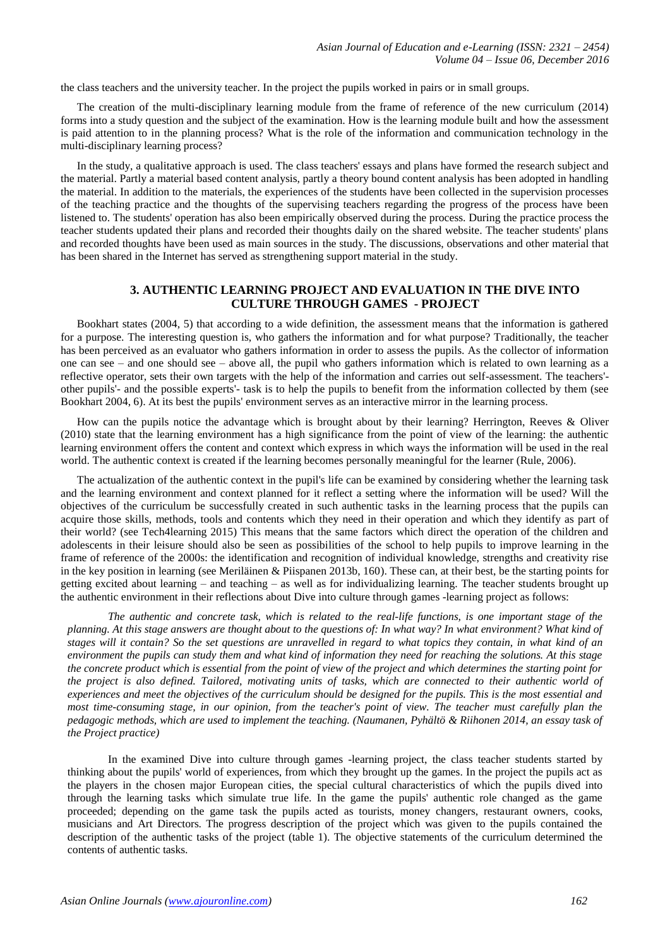the class teachers and the university teacher. In the project the pupils worked in pairs or in small groups.

The creation of the multi-disciplinary learning module from the frame of reference of the new curriculum (2014) forms into a study question and the subject of the examination. How is the learning module built and how the assessment is paid attention to in the planning process? What is the role of the information and communication technology in the multi-disciplinary learning process?

In the study, a qualitative approach is used. The class teachers' essays and plans have formed the research subject and the material. Partly a material based content analysis, partly a theory bound content analysis has been adopted in handling the material. In addition to the materials, the experiences of the students have been collected in the supervision processes of the teaching practice and the thoughts of the supervising teachers regarding the progress of the process have been listened to. The students' operation has also been empirically observed during the process. During the practice process the teacher students updated their plans and recorded their thoughts daily on the shared website. The teacher students' plans and recorded thoughts have been used as main sources in the study. The discussions, observations and other material that has been shared in the Internet has served as strengthening support material in the study.

## **3. AUTHENTIC LEARNING PROJECT AND EVALUATION IN THE DIVE INTO CULTURE THROUGH GAMES - PROJECT**

Bookhart states (2004, 5) that according to a wide definition, the assessment means that the information is gathered for a purpose. The interesting question is, who gathers the information and for what purpose? Traditionally, the teacher has been perceived as an evaluator who gathers information in order to assess the pupils. As the collector of information one can see – and one should see – above all, the pupil who gathers information which is related to own learning as a reflective operator, sets their own targets with the help of the information and carries out self-assessment. The teachers' other pupils'- and the possible experts'- task is to help the pupils to benefit from the information collected by them (see Bookhart 2004, 6). At its best the pupils' environment serves as an interactive mirror in the learning process.

How can the pupils notice the advantage which is brought about by their learning? Herrington, Reeves & Oliver (2010) state that the learning environment has a high significance from the point of view of the learning: the authentic learning environment offers the content and context which express in which ways the information will be used in the real world. The authentic context is created if the learning becomes personally meaningful for the learner (Rule, 2006).

The actualization of the authentic context in the pupil's life can be examined by considering whether the learning task and the learning environment and context planned for it reflect a setting where the information will be used? Will the objectives of the curriculum be successfully created in such authentic tasks in the learning process that the pupils can acquire those skills, methods, tools and contents which they need in their operation and which they identify as part of their world? (see Tech4learning 2015) This means that the same factors which direct the operation of the children and adolescents in their leisure should also be seen as possibilities of the school to help pupils to improve learning in the frame of reference of the 2000s: the identification and recognition of individual knowledge, strengths and creativity rise in the key position in learning (see Meriläinen & Piispanen 2013b, 160). These can, at their best, be the starting points for getting excited about learning – and teaching – as well as for individualizing learning. The teacher students brought up the authentic environment in their reflections about Dive into culture through games -learning project as follows:

*The authentic and concrete task, which is related to the real-life functions, is one important stage of the planning. At this stage answers are thought about to the questions of: In what way? In what environment? What kind of stages will it contain? So the set questions are unravelled in regard to what topics they contain, in what kind of an environment the pupils can study them and what kind of information they need for reaching the solutions. At this stage the concrete product which is essential from the point of view of the project and which determines the starting point for the project is also defined. Tailored, motivating units of tasks, which are connected to their authentic world of experiences and meet the objectives of the curriculum should be designed for the pupils. This is the most essential and most time-consuming stage, in our opinion, from the teacher's point of view. The teacher must carefully plan the pedagogic methods, which are used to implement the teaching. (Naumanen, Pyhältö & Riihonen 2014, an essay task of the Project practice)* 

In the examined Dive into culture through games -learning project, the class teacher students started by thinking about the pupils' world of experiences, from which they brought up the games. In the project the pupils act as the players in the chosen major European cities, the special cultural characteristics of which the pupils dived into through the learning tasks which simulate true life. In the game the pupils' authentic role changed as the game proceeded; depending on the game task the pupils acted as tourists, money changers, restaurant owners, cooks, musicians and Art Directors. The progress description of the project which was given to the pupils contained the description of the authentic tasks of the project (table 1). The objective statements of the curriculum determined the contents of authentic tasks.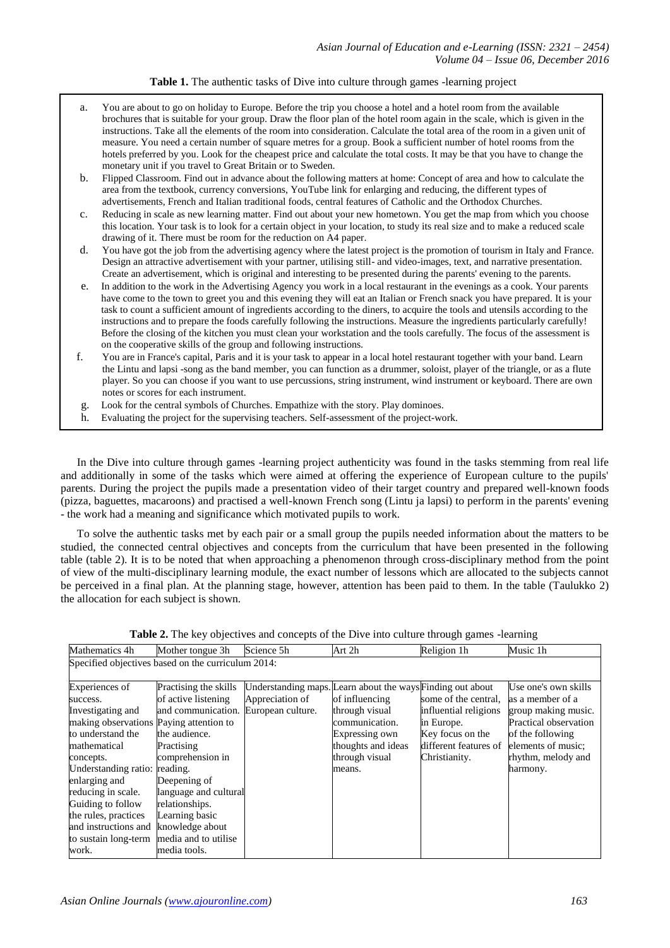## **Table 1.** The authentic tasks of Dive into culture through games -learning project

- a. You are about to go on holiday to Europe. Before the trip you choose a hotel and a hotel room from the available brochures that is suitable for your group. Draw the floor plan of the hotel room again in the scale, which is given in the instructions. Take all the elements of the room into consideration. Calculate the total area of the room in a given unit of measure. You need a certain number of square metres for a group. Book a sufficient number of hotel rooms from the hotels preferred by you. Look for the cheapest price and calculate the total costs. It may be that you have to change the monetary unit if you travel to Great Britain or to Sweden.
- b. Flipped Classroom. Find out in advance about the following matters at home: Concept of area and how to calculate the area from the textbook, currency conversions, YouTube link for enlarging and reducing, the different types of advertisements, French and Italian traditional foods, central features of Catholic and the Orthodox Churches.
- c. Reducing in scale as new learning matter. Find out about your new hometown. You get the map from which you choose this location. Your task is to look for a certain object in your location, to study its real size and to make a reduced scale drawing of it. There must be room for the reduction on A4 paper.
- d. You have got the job from the advertising agency where the latest project is the promotion of tourism in Italy and France. Design an attractive advertisement with your partner, utilising still- and video-images, text, and narrative presentation. Create an advertisement, which is original and interesting to be presented during the parents' evening to the parents.
- e. In addition to the work in the Advertising Agency you work in a local restaurant in the evenings as a cook. Your parents have come to the town to greet you and this evening they will eat an Italian or French snack you have prepared. It is your task to count a sufficient amount of ingredients according to the diners, to acquire the tools and utensils according to the instructions and to prepare the foods carefully following the instructions. Measure the ingredients particularly carefully! Before the closing of the kitchen you must clean your workstation and the tools carefully. The focus of the assessment is on the cooperative skills of the group and following instructions.
- f. You are in France's capital, Paris and it is your task to appear in a local hotel restaurant together with your band. Learn the Lintu and lapsi -song as the band member, you can function as a drummer, soloist, player of the triangle, or as a flute player. So you can choose if you want to use percussions, string instrument, wind instrument or keyboard. There are own notes or scores for each instrument.
- g. Look for the central symbols of Churches. Empathize with the story. Play dominoes.
- h. Evaluating the project for the supervising teachers. Self-assessment of the project-work.

In the Dive into culture through games -learning project authenticity was found in the tasks stemming from real life and additionally in some of the tasks which were aimed at offering the experience of European culture to the pupils' parents. During the project the pupils made a presentation video of their target country and prepared well-known foods (pizza, baguettes, macaroons) and practised a well-known French song (Lintu ja lapsi) to perform in the parents' evening - the work had a meaning and significance which motivated pupils to work.

To solve the authentic tasks met by each pair or a small group the pupils needed information about the matters to be studied, the connected central objectives and concepts from the curriculum that have been presented in the following table (table 2). It is to be noted that when approaching a phenomenon through cross-disciplinary method from the point of view of the multi-disciplinary learning module, the exact number of lessons which are allocated to the subjects cannot be perceived in a final plan. At the planning stage, however, attention has been paid to them. In the table (Taulukko 2) the allocation for each subject is shown.

| Specified objectives based on the curriculum 2014: |                                      |                 |                                                            |                       |                       |
|----------------------------------------------------|--------------------------------------|-----------------|------------------------------------------------------------|-----------------------|-----------------------|
| Experiences of                                     | Practising the skills                |                 | Understanding maps. Learn about the ways Finding out about |                       | Use one's own skills  |
| success.                                           | of active listening                  | Appreciation of | of influencing                                             | some of the central.  | as a member of a      |
| Investigating and                                  | and communication. European culture. |                 | through visual                                             | influential religions | group making music.   |
| making observations Paying attention to            |                                      |                 | communication.                                             | in Europe.            | Practical observation |
| to understand the                                  | the audience.                        |                 | Expressing own                                             | Key focus on the      | of the following      |
| mathematical                                       | Practising                           |                 | thoughts and ideas                                         | different features of | elements of music;    |
| concepts.                                          | comprehension in                     |                 | through visual                                             | Christianity.         | rhythm, melody and    |
| Understanding ratio: reading.                      |                                      |                 | means.                                                     |                       | harmony.              |
| enlarging and                                      | Deepening of                         |                 |                                                            |                       |                       |
| reducing in scale.                                 | language and cultural                |                 |                                                            |                       |                       |
| Guiding to follow                                  | relationships.                       |                 |                                                            |                       |                       |
| the rules, practices                               | Learning basic                       |                 |                                                            |                       |                       |
| and instructions and                               | knowledge about                      |                 |                                                            |                       |                       |
| to sustain long-term                               | media and to utilise                 |                 |                                                            |                       |                       |
| work.                                              | media tools.                         |                 |                                                            |                       |                       |

**Table 2.** The key objectives and concepts of the Dive into culture through games -learning

Mother tongue 3h Science 5h Art 2h Religion 1h Music 1h

Mathematics 4h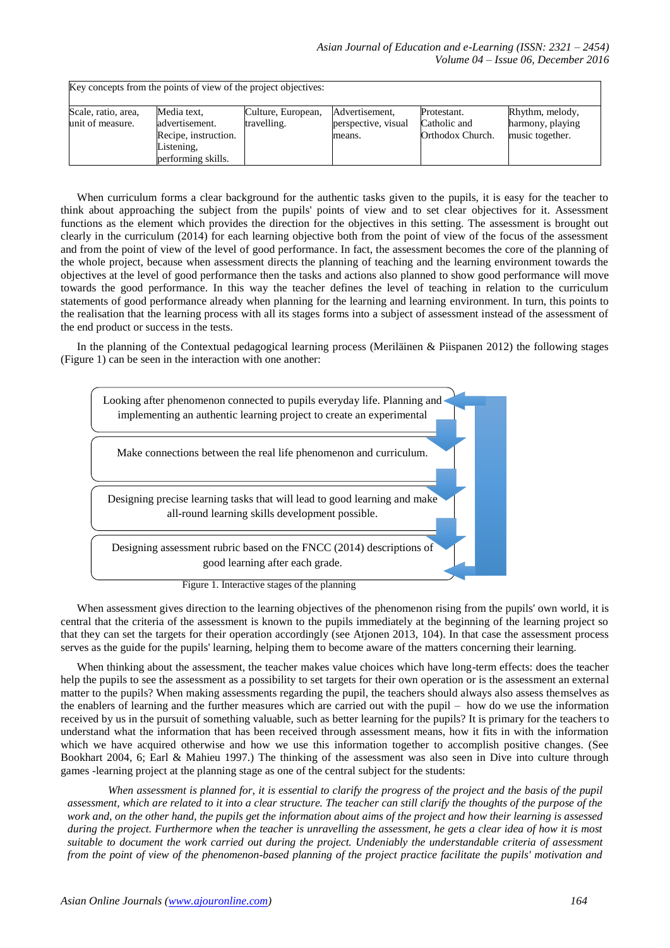| Key concepts from the points of view of the project objectives: |                                                                                           |                                   |                                                 |                                                 |                                                        |
|-----------------------------------------------------------------|-------------------------------------------------------------------------------------------|-----------------------------------|-------------------------------------------------|-------------------------------------------------|--------------------------------------------------------|
| Scale, ratio, area,<br>unit of measure.                         | Media text,<br>advertisement.<br>Recipe, instruction.<br>Listening,<br>performing skills. | Culture, European,<br>travelling. | Advertisement,<br>perspective, visual<br>means. | Protestant.<br>Catholic and<br>Orthodox Church. | Rhythm, melody,<br>harmony, playing<br>music together. |

When curriculum forms a clear background for the authentic tasks given to the pupils, it is easy for the teacher to think about approaching the subject from the pupils' points of view and to set clear objectives for it. Assessment functions as the element which provides the direction for the objectives in this setting. The assessment is brought out clearly in the curriculum (2014) for each learning objective both from the point of view of the focus of the assessment and from the point of view of the level of good performance. In fact, the assessment becomes the core of the planning of the whole project, because when assessment directs the planning of teaching and the learning environment towards the objectives at the level of good performance then the tasks and actions also planned to show good performance will move towards the good performance. In this way the teacher defines the level of teaching in relation to the curriculum statements of good performance already when planning for the learning and learning environment. In turn, this points to the realisation that the learning process with all its stages forms into a subject of assessment instead of the assessment of the end product or success in the tests.

In the planning of the Contextual pedagogical learning process (Meriläinen & Piispanen 2012) the following stages (Figure 1) can be seen in the interaction with one another:



When assessment gives direction to the learning objectives of the phenomenon rising from the pupils' own world, it is central that the criteria of the assessment is known to the pupils immediately at the beginning of the learning project so that they can set the targets for their operation accordingly (see Atjonen 2013, 104). In that case the assessment process serves as the guide for the pupils' learning, helping them to become aware of the matters concerning their learning.

When thinking about the assessment, the teacher makes value choices which have long-term effects: does the teacher help the pupils to see the assessment as a possibility to set targets for their own operation or is the assessment an external matter to the pupils? When making assessments regarding the pupil, the teachers should always also assess themselves as the enablers of learning and the further measures which are carried out with the pupil – how do we use the information received by us in the pursuit of something valuable, such as better learning for the pupils? It is primary for the teachers to understand what the information that has been received through assessment means, how it fits in with the information which we have acquired otherwise and how we use this information together to accomplish positive changes. (See Bookhart 2004, 6; Earl & Mahieu 1997.) The thinking of the assessment was also seen in Dive into culture through games -learning project at the planning stage as one of the central subject for the students:

*When assessment is planned for, it is essential to clarify the progress of the project and the basis of the pupil assessment, which are related to it into a clear structure. The teacher can still clarify the thoughts of the purpose of the work and, on the other hand, the pupils get the information about aims of the project and how their learning is assessed during the project. Furthermore when the teacher is unravelling the assessment, he gets a clear idea of how it is most suitable to document the work carried out during the project. Undeniably the understandable criteria of assessment from the point of view of the phenomenon-based planning of the project practice facilitate the pupils' motivation and*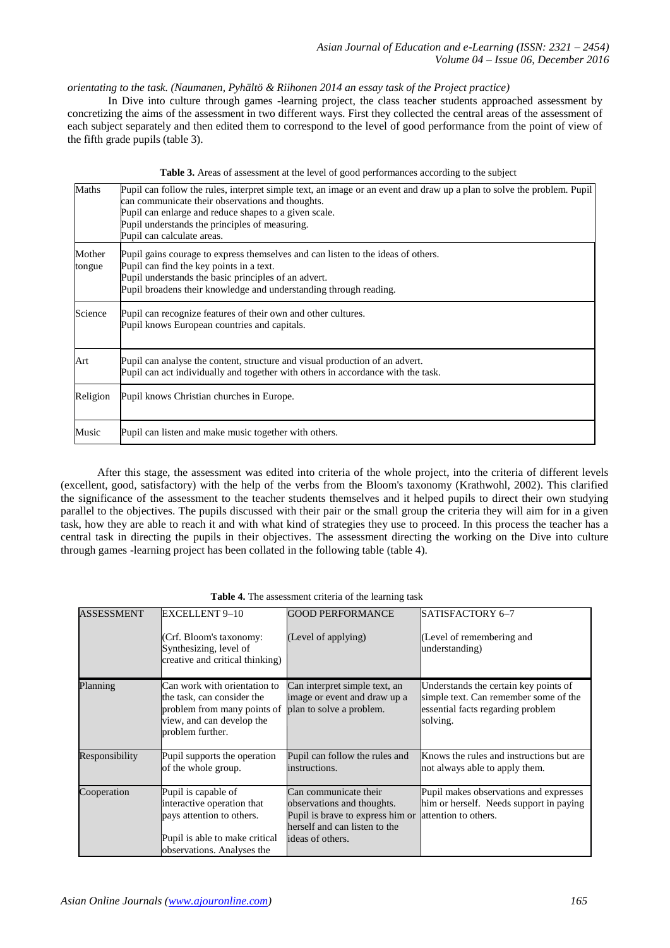# *orientating to the task. (Naumanen, Pyhältö & Riihonen 2014 an essay task of the Project practice)*

In Dive into culture through games -learning project, the class teacher students approached assessment by concretizing the aims of the assessment in two different ways. First they collected the central areas of the assessment of each subject separately and then edited them to correspond to the level of good performance from the point of view of the fifth grade pupils (table 3).

|  |  |  | Table 3. Areas of assessment at the level of good performances according to the subject |  |  |
|--|--|--|-----------------------------------------------------------------------------------------|--|--|
|  |  |  |                                                                                         |  |  |

| Maths            | Pupil can follow the rules, interpret simple text, an image or an event and draw up a plan to solve the problem. Pupil<br>can communicate their observations and thoughts.<br>Pupil can enlarge and reduce shapes to a given scale.<br>Pupil understands the principles of measuring.<br>Pupil can calculate areas. |
|------------------|---------------------------------------------------------------------------------------------------------------------------------------------------------------------------------------------------------------------------------------------------------------------------------------------------------------------|
| Mother<br>tongue | Pupil gains courage to express themselves and can listen to the ideas of others.<br>Pupil can find the key points in a text.<br>Pupil understands the basic principles of an advert.<br>Pupil broadens their knowledge and understanding through reading.                                                           |
| Science          | Pupil can recognize features of their own and other cultures.<br>Pupil knows European countries and capitals.                                                                                                                                                                                                       |
| Art              | Pupil can analyse the content, structure and visual production of an advert.<br>Pupil can act individually and together with others in accordance with the task.                                                                                                                                                    |
| Religion         | Pupil knows Christian churches in Europe.                                                                                                                                                                                                                                                                           |
| Music            | Pupil can listen and make music together with others.                                                                                                                                                                                                                                                               |

 After this stage, the assessment was edited into criteria of the whole project, into the criteria of different levels (excellent, good, satisfactory) with the help of the verbs from the Bloom's taxonomy (Krathwohl, 2002). This clarified the significance of the assessment to the teacher students themselves and it helped pupils to direct their own studying parallel to the objectives. The pupils discussed with their pair or the small group the criteria they will aim for in a given task, how they are able to reach it and with what kind of strategies they use to proceed. In this process the teacher has a central task in directing the pupils in their objectives. The assessment directing the working on the Dive into culture through games -learning project has been collated in the following table (table 4).

| <b>ASSESSMENT</b> | <b>EXCELLENT 9-10</b>                                     | <b>GOOD PERFORMANCE</b>                               | SATISFACTORY 6-7                              |
|-------------------|-----------------------------------------------------------|-------------------------------------------------------|-----------------------------------------------|
|                   | Crf. Bloom's taxonomy:                                    | (Level of applying)                                   | (Level of remembering and                     |
|                   | Synthesizing, level of<br>creative and critical thinking) |                                                       | understanding)                                |
|                   |                                                           |                                                       |                                               |
| Planning          | Can work with orientation to                              | Can interpret simple text, an                         | Understands the certain key points of         |
|                   | the task, can consider the                                | image or event and draw up a                          | simple text. Can remember some of the         |
|                   | problem from many points of<br>view, and can develop the  | plan to solve a problem.                              | essential facts regarding problem<br>solving. |
|                   | problem further.                                          |                                                       |                                               |
|                   |                                                           |                                                       |                                               |
| Responsibility    | Pupil supports the operation                              | Pupil can follow the rules and                        | Knows the rules and instructions but are.     |
|                   | of the whole group.                                       | instructions.                                         | not always able to apply them.                |
| Cooperation       | Pupil is capable of                                       | Can communicate their                                 | Pupil makes observations and expresses        |
|                   | interactive operation that                                | observations and thoughts.                            | him or herself. Needs support in paying       |
|                   | pays attention to others.                                 | Pupil is brave to express him or attention to others. |                                               |
|                   |                                                           | herself and can listen to the                         |                                               |
|                   | Pupil is able to make critical                            | ideas of others.                                      |                                               |
|                   | observations. Analyses the                                |                                                       |                                               |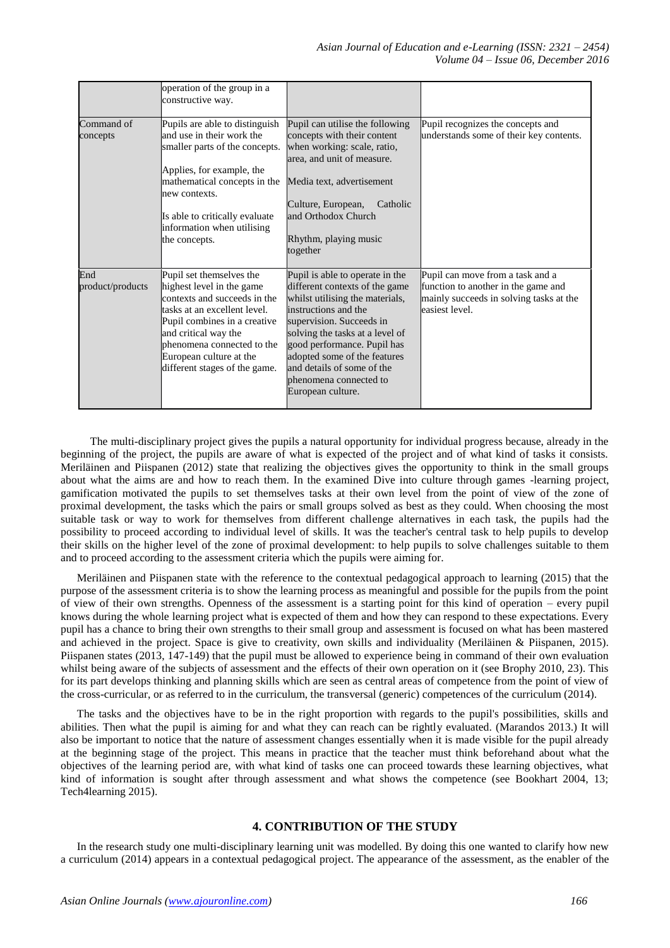|                         | operation of the group in a<br>constructive way.                                                                                                                                                                                                                        |                                                                                                                                                                                                                                                                                                                                         |                                                                                                                                      |
|-------------------------|-------------------------------------------------------------------------------------------------------------------------------------------------------------------------------------------------------------------------------------------------------------------------|-----------------------------------------------------------------------------------------------------------------------------------------------------------------------------------------------------------------------------------------------------------------------------------------------------------------------------------------|--------------------------------------------------------------------------------------------------------------------------------------|
| Command of<br>concepts  | Pupils are able to distinguish<br>and use in their work the<br>smaller parts of the concepts.<br>Applies, for example, the<br>mathematical concepts in the<br>new contexts.<br>Is able to critically evaluate<br>information when utilising<br>the concepts.            | Pupil can utilise the following<br>concepts with their content<br>when working: scale, ratio,<br>area, and unit of measure.<br>Media text, advertisement<br>Culture, European,<br>Catholic<br>and Orthodox Church<br>Rhythm, playing music<br>together                                                                                  | Pupil recognizes the concepts and<br>understands some of their key contents.                                                         |
| End<br>product/products | Pupil set themselves the<br>highest level in the game<br>contexts and succeeds in the<br>tasks at an excellent level.<br>Pupil combines in a creative<br>and critical way the<br>phenomena connected to the<br>European culture at the<br>different stages of the game. | Pupil is able to operate in the<br>different contexts of the game<br>whilst utilising the materials,<br>instructions and the<br>supervision. Succeeds in<br>solving the tasks at a level of<br>good performance. Pupil has<br>adopted some of the features<br>and details of some of the<br>phenomena connected to<br>European culture. | Pupil can move from a task and a<br>function to another in the game and<br>mainly succeeds in solving tasks at the<br>easiest level. |

 The multi-disciplinary project gives the pupils a natural opportunity for individual progress because, already in the beginning of the project, the pupils are aware of what is expected of the project and of what kind of tasks it consists. Meriläinen and Piispanen (2012) state that realizing the objectives gives the opportunity to think in the small groups about what the aims are and how to reach them. In the examined Dive into culture through games -learning project, gamification motivated the pupils to set themselves tasks at their own level from the point of view of the zone of proximal development, the tasks which the pairs or small groups solved as best as they could. When choosing the most suitable task or way to work for themselves from different challenge alternatives in each task, the pupils had the possibility to proceed according to individual level of skills. It was the teacher's central task to help pupils to develop their skills on the higher level of the zone of proximal development: to help pupils to solve challenges suitable to them and to proceed according to the assessment criteria which the pupils were aiming for.

Meriläinen and Piispanen state with the reference to the contextual pedagogical approach to learning (2015) that the purpose of the assessment criteria is to show the learning process as meaningful and possible for the pupils from the point of view of their own strengths. Openness of the assessment is a starting point for this kind of operation – every pupil knows during the whole learning project what is expected of them and how they can respond to these expectations. Every pupil has a chance to bring their own strengths to their small group and assessment is focused on what has been mastered and achieved in the project. Space is give to creativity, own skills and individuality (Meriläinen & Piispanen, 2015). Piispanen states (2013, 147-149) that the pupil must be allowed to experience being in command of their own evaluation whilst being aware of the subjects of assessment and the effects of their own operation on it (see Brophy 2010, 23). This for its part develops thinking and planning skills which are seen as central areas of competence from the point of view of the cross-curricular, or as referred to in the curriculum, the transversal (generic) competences of the curriculum (2014).

The tasks and the objectives have to be in the right proportion with regards to the pupil's possibilities, skills and abilities. Then what the pupil is aiming for and what they can reach can be rightly evaluated. (Marandos 2013.) It will also be important to notice that the nature of assessment changes essentially when it is made visible for the pupil already at the beginning stage of the project. This means in practice that the teacher must think beforehand about what the objectives of the learning period are, with what kind of tasks one can proceed towards these learning objectives, what kind of information is sought after through assessment and what shows the competence (see Bookhart 2004, 13; Tech4learning 2015).

# **4. CONTRIBUTION OF THE STUDY**

In the research study one multi-disciplinary learning unit was modelled. By doing this one wanted to clarify how new a curriculum (2014) appears in a contextual pedagogical project. The appearance of the assessment, as the enabler of the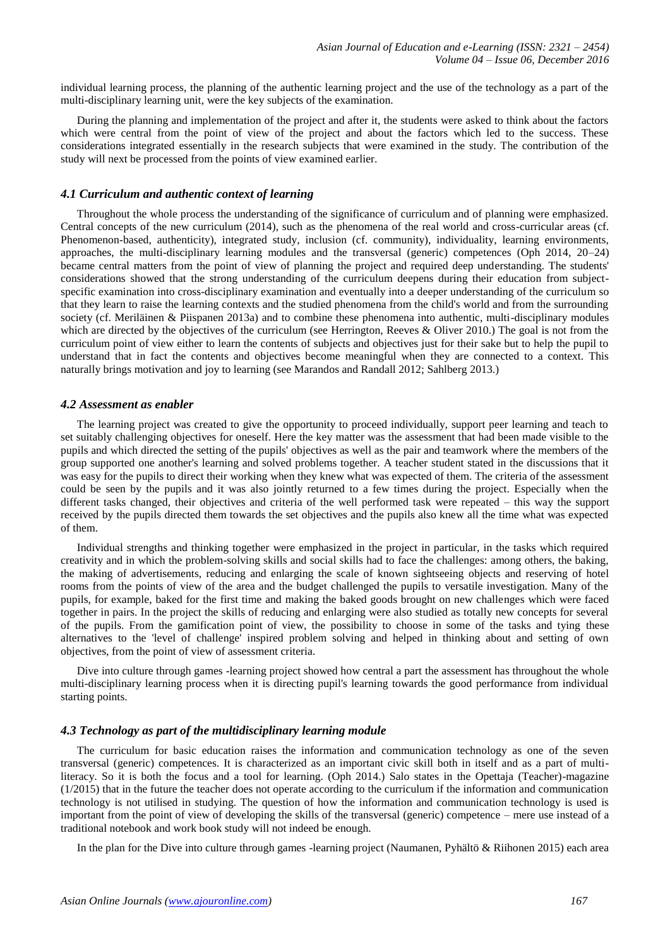individual learning process, the planning of the authentic learning project and the use of the technology as a part of the multi-disciplinary learning unit, were the key subjects of the examination.

During the planning and implementation of the project and after it, the students were asked to think about the factors which were central from the point of view of the project and about the factors which led to the success. These considerations integrated essentially in the research subjects that were examined in the study. The contribution of the study will next be processed from the points of view examined earlier.

# *4.1 Curriculum and authentic context of learning*

Throughout the whole process the understanding of the significance of curriculum and of planning were emphasized. Central concepts of the new curriculum (2014), such as the phenomena of the real world and cross-curricular areas (cf. Phenomenon-based, authenticity), integrated study, inclusion (cf. community), individuality, learning environments, approaches, the multi-disciplinary learning modules and the transversal (generic) competences (Oph 2014, 20–24) became central matters from the point of view of planning the project and required deep understanding. The students' considerations showed that the strong understanding of the curriculum deepens during their education from subjectspecific examination into cross-disciplinary examination and eventually into a deeper understanding of the curriculum so that they learn to raise the learning contexts and the studied phenomena from the child's world and from the surrounding society (cf. Meriläinen & Piispanen 2013a) and to combine these phenomena into authentic, multi-disciplinary modules which are directed by the objectives of the curriculum (see Herrington, Reeves & Oliver 2010.) The goal is not from the curriculum point of view either to learn the contents of subjects and objectives just for their sake but to help the pupil to understand that in fact the contents and objectives become meaningful when they are connected to a context. This naturally brings motivation and joy to learning (see Marandos and Randall 2012; Sahlberg 2013.)

### *4.2 Assessment as enabler*

The learning project was created to give the opportunity to proceed individually, support peer learning and teach to set suitably challenging objectives for oneself. Here the key matter was the assessment that had been made visible to the pupils and which directed the setting of the pupils' objectives as well as the pair and teamwork where the members of the group supported one another's learning and solved problems together. A teacher student stated in the discussions that it was easy for the pupils to direct their working when they knew what was expected of them. The criteria of the assessment could be seen by the pupils and it was also jointly returned to a few times during the project. Especially when the different tasks changed, their objectives and criteria of the well performed task were repeated – this way the support received by the pupils directed them towards the set objectives and the pupils also knew all the time what was expected of them.

Individual strengths and thinking together were emphasized in the project in particular, in the tasks which required creativity and in which the problem-solving skills and social skills had to face the challenges: among others, the baking, the making of advertisements, reducing and enlarging the scale of known sightseeing objects and reserving of hotel rooms from the points of view of the area and the budget challenged the pupils to versatile investigation. Many of the pupils, for example, baked for the first time and making the baked goods brought on new challenges which were faced together in pairs. In the project the skills of reducing and enlarging were also studied as totally new concepts for several of the pupils. From the gamification point of view, the possibility to choose in some of the tasks and tying these alternatives to the 'level of challenge' inspired problem solving and helped in thinking about and setting of own objectives, from the point of view of assessment criteria.

Dive into culture through games -learning project showed how central a part the assessment has throughout the whole multi-disciplinary learning process when it is directing pupil's learning towards the good performance from individual starting points.

### *4.3 Technology as part of the multidisciplinary learning module*

The curriculum for basic education raises the information and communication technology as one of the seven transversal (generic) competences. It is characterized as an important civic skill both in itself and as a part of multiliteracy. So it is both the focus and a tool for learning. (Oph 2014.) Salo states in the Opettaja (Teacher)-magazine  $(1/2015)$  that in the future the teacher does not operate according to the curriculum if the information and communication technology is not utilised in studying. The question of how the information and communication technology is used is important from the point of view of developing the skills of the transversal (generic) competence – mere use instead of a traditional notebook and work book study will not indeed be enough.

In the plan for the Dive into culture through games -learning project (Naumanen, Pyhältö & Riihonen 2015) each area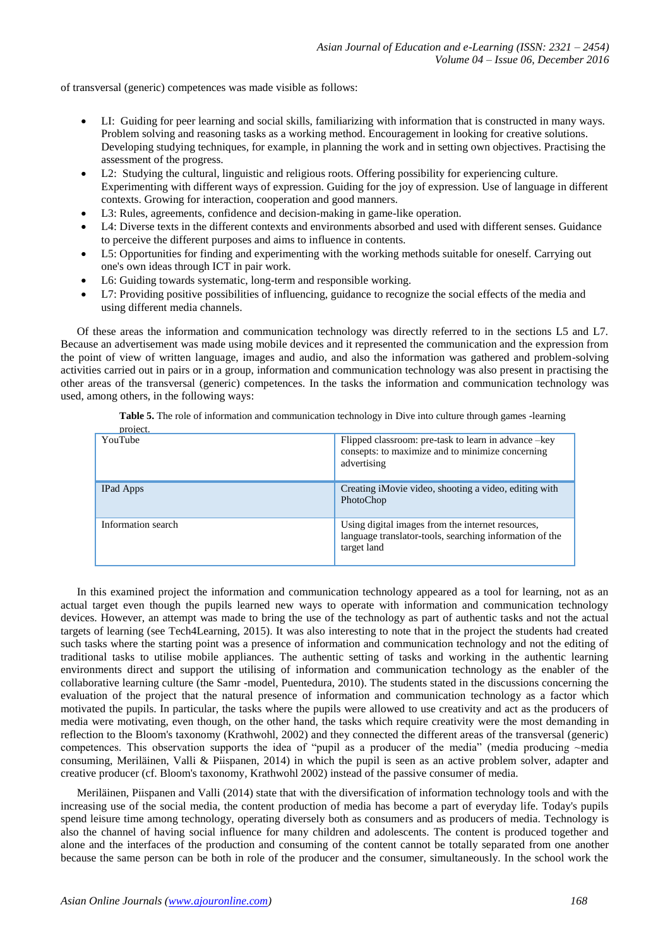of transversal (generic) competences was made visible as follows:

- LI: Guiding for peer learning and social skills, familiarizing with information that is constructed in many ways. Problem solving and reasoning tasks as a working method. Encouragement in looking for creative solutions. Developing studying techniques, for example, in planning the work and in setting own objectives. Practising the assessment of the progress.
- L2: Studying the cultural, linguistic and religious roots. Offering possibility for experiencing culture. Experimenting with different ways of expression. Guiding for the joy of expression. Use of language in different contexts. Growing for interaction, cooperation and good manners.
- L3: Rules, agreements, confidence and decision-making in game-like operation.
- L4: Diverse texts in the different contexts and environments absorbed and used with different senses. Guidance to perceive the different purposes and aims to influence in contents.
- L5: Opportunities for finding and experimenting with the working methods suitable for oneself. Carrying out one's own ideas through ICT in pair work.
- L6: Guiding towards systematic, long-term and responsible working.
- L7: Providing positive possibilities of influencing, guidance to recognize the social effects of the media and using different media channels.

Of these areas the information and communication technology was directly referred to in the sections L5 and L7. Because an advertisement was made using mobile devices and it represented the communication and the expression from the point of view of written language, images and audio, and also the information was gathered and problem-solving activities carried out in pairs or in a group, information and communication technology was also present in practising the other areas of the transversal (generic) competences. In the tasks the information and communication technology was used, among others, in the following ways:

**Table 5.** The role of information and communication technology in Dive into culture through games -learning

| project.           |                                                                                                                             |
|--------------------|-----------------------------------------------------------------------------------------------------------------------------|
| YouTube            | Flipped classroom: pre-task to learn in advance -key<br>consepts: to maximize and to minimize concerning<br>advertising     |
| <b>IPad Apps</b>   | Creating iMovie video, shooting a video, editing with<br>PhotoChop                                                          |
| Information search | Using digital images from the internet resources,<br>language translator-tools, searching information of the<br>target land |

In this examined project the information and communication technology appeared as a tool for learning, not as an actual target even though the pupils learned new ways to operate with information and communication technology devices. However, an attempt was made to bring the use of the technology as part of authentic tasks and not the actual targets of learning (see Tech4Learning, 2015). It was also interesting to note that in the project the students had created such tasks where the starting point was a presence of information and communication technology and not the editing of traditional tasks to utilise mobile appliances. The authentic setting of tasks and working in the authentic learning environments direct and support the utilising of information and communication technology as the enabler of the collaborative learning culture (the Samr -model, Puentedura, 2010). The students stated in the discussions concerning the evaluation of the project that the natural presence of information and communication technology as a factor which motivated the pupils. In particular, the tasks where the pupils were allowed to use creativity and act as the producers of media were motivating, even though, on the other hand, the tasks which require creativity were the most demanding in reflection to the Bloom's taxonomy (Krathwohl, 2002) and they connected the different areas of the transversal (generic) competences. This observation supports the idea of "pupil as a producer of the media" (media producing ~media consuming, Meriläinen, Valli & Piispanen, 2014) in which the pupil is seen as an active problem solver, adapter and creative producer (cf. Bloom's taxonomy, Krathwohl 2002) instead of the passive consumer of media.

Meriläinen, Piispanen and Valli (2014) state that with the diversification of information technology tools and with the increasing use of the social media, the content production of media has become a part of everyday life. Today's pupils spend leisure time among technology, operating diversely both as consumers and as producers of media. Technology is also the channel of having social influence for many children and adolescents. The content is produced together and alone and the interfaces of the production and consuming of the content cannot be totally separated from one another because the same person can be both in role of the producer and the consumer, simultaneously. In the school work the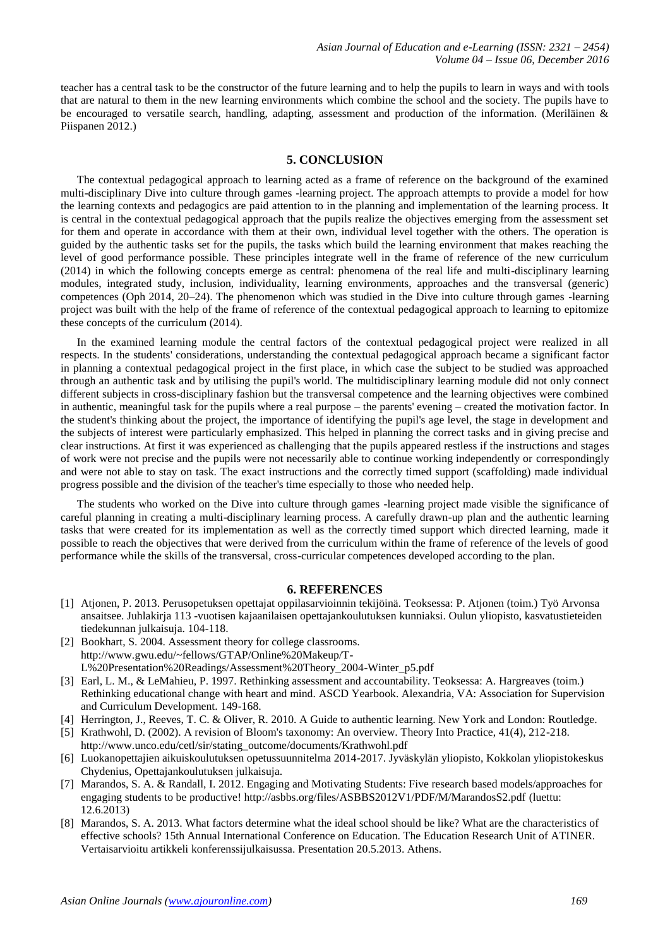teacher has a central task to be the constructor of the future learning and to help the pupils to learn in ways and with tools that are natural to them in the new learning environments which combine the school and the society. The pupils have to be encouraged to versatile search, handling, adapting, assessment and production of the information. (Meriläinen & Piispanen 2012.)

# **5. CONCLUSION**

The contextual pedagogical approach to learning acted as a frame of reference on the background of the examined multi-disciplinary Dive into culture through games -learning project. The approach attempts to provide a model for how the learning contexts and pedagogics are paid attention to in the planning and implementation of the learning process. It is central in the contextual pedagogical approach that the pupils realize the objectives emerging from the assessment set for them and operate in accordance with them at their own, individual level together with the others. The operation is guided by the authentic tasks set for the pupils, the tasks which build the learning environment that makes reaching the level of good performance possible. These principles integrate well in the frame of reference of the new curriculum (2014) in which the following concepts emerge as central: phenomena of the real life and multi-disciplinary learning modules, integrated study, inclusion, individuality, learning environments, approaches and the transversal (generic) competences (Oph 2014, 20–24). The phenomenon which was studied in the Dive into culture through games -learning project was built with the help of the frame of reference of the contextual pedagogical approach to learning to epitomize these concepts of the curriculum (2014).

In the examined learning module the central factors of the contextual pedagogical project were realized in all respects. In the students' considerations, understanding the contextual pedagogical approach became a significant factor in planning a contextual pedagogical project in the first place, in which case the subject to be studied was approached through an authentic task and by utilising the pupil's world. The multidisciplinary learning module did not only connect different subjects in cross-disciplinary fashion but the transversal competence and the learning objectives were combined in authentic, meaningful task for the pupils where a real purpose – the parents' evening – created the motivation factor. In the student's thinking about the project, the importance of identifying the pupil's age level, the stage in development and the subjects of interest were particularly emphasized. This helped in planning the correct tasks and in giving precise and clear instructions. At first it was experienced as challenging that the pupils appeared restless if the instructions and stages of work were not precise and the pupils were not necessarily able to continue working independently or correspondingly and were not able to stay on task. The exact instructions and the correctly timed support (scaffolding) made individual progress possible and the division of the teacher's time especially to those who needed help.

The students who worked on the Dive into culture through games -learning project made visible the significance of careful planning in creating a multi-disciplinary learning process. A carefully drawn-up plan and the authentic learning tasks that were created for its implementation as well as the correctly timed support which directed learning, made it possible to reach the objectives that were derived from the curriculum within the frame of reference of the levels of good performance while the skills of the transversal, cross-curricular competences developed according to the plan.

#### **6. REFERENCES**

- [1] Atjonen, P. 2013. Perusopetuksen opettajat oppilasarvioinnin tekijöinä. Teoksessa: P. Atjonen (toim.) Työ Arvonsa ansaitsee. Juhlakirja 113 -vuotisen kajaanilaisen opettajankoulutuksen kunniaksi. Oulun yliopisto, kasvatustieteiden tiedekunnan julkaisuja. 104-118.
- [2] Bookhart, S. 2004. Assessment theory for college classrooms. http://www.gwu.edu/~fellows/GTAP/Online%20Makeup/T-L%20Presentation%20Readings/Assessment%20Theory\_2004-Winter\_p5.pdf
- [3] Earl, L. M., & LeMahieu, P. 1997. Rethinking assessment and accountability. Teoksessa: A. Hargreaves (toim.) Rethinking educational change with heart and mind. ASCD Yearbook. Alexandria, VA: Association for Supervision and Curriculum Development. 149-168.
- [4] Herrington, J., Reeves, T. C. & Oliver, R. 2010. A Guide to authentic learning. New York and London: Routledge.
- [5] Krathwohl, D. (2002). A revision of Bloom's taxonomy: An overview. Theory Into Practice, 41(4), 212-218. [http://www.unco.edu/cetl/sir/stating\\_outcome/documents/Krathwohl.pdf](http://www.unco.edu/cetl/sir/stating_outcome/documents/Krathwohl.pdf)
- [6] Luokanopettajien aikuiskoulutuksen opetussuunnitelma 2014-2017. Jyväskylän yliopisto, Kokkolan yliopistokeskus Chydenius, Opettajankoulutuksen julkaisuja.
- [7] Marandos, S. A. & Randall, I. 2012. Engaging and Motivating Students: Five research based models/approaches for engaging students to be productive! http://asbbs.org/files/ASBBS2012V1/PDF/M/MarandosS2.pdf (luettu: 12.6.2013)
- [8] Marandos, S. A. 2013. What factors determine what the ideal school should be like? What are the characteristics of effective schools? 15th Annual International Conference on Education. The Education Research Unit of ATINER. Vertaisarvioitu artikkeli konferenssijulkaisussa. Presentation 20.5.2013. Athens.